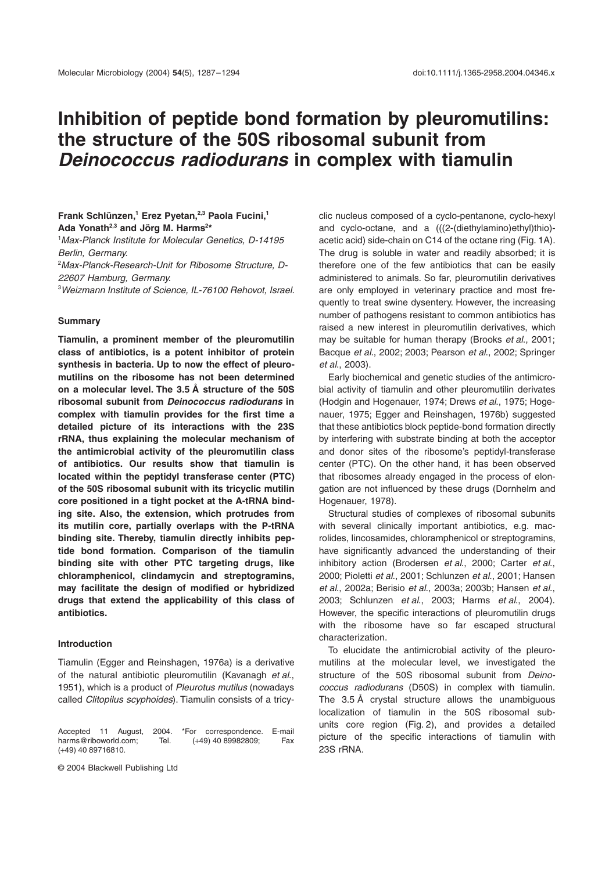# **Inhibition of peptide bond formation by pleuromutilins: the structure of the 50S ribosomal subunit from**  *Deinococcus radiodurans* **in complex with tiamulin**

## **Frank Schlünzen,1 Erez Pyetan,2,3 Paola Fucini,1 Ada Yonath2,3 and Jörg M. Harms2 \***

1 *Max-Planck Institute for Molecular Genetics, D-14195 Berlin, Germany.* 2 *Max-Planck-Research-Unit for Ribosome Structure, D-22607 Hamburg, Germany.*

3 *Weizmann Institute of Science, IL-76100 Rehovot, Israel.*

#### **Summary**

**Tiamulin, a prominent member of the pleuromutilin class of antibiotics, is a potent inhibitor of protein synthesis in bacteria. Up to now the effect of pleuromutilins on the ribosome has not been determined on a molecular level. The 3.5 Å structure of the 50S ribosomal subunit from** *Deinococcus radiodurans* **in complex with tiamulin provides for the first time a detailed picture of its interactions with the 23S rRNA, thus explaining the molecular mechanism of the antimicrobial activity of the pleuromutilin class of antibiotics. Our results show that tiamulin is located within the peptidyl transferase center (PTC) of the 50S ribosomal subunit with its tricyclic mutilin core positioned in a tight pocket at the A-tRNA binding site. Also, the extension, which protrudes from its mutilin core, partially overlaps with the P-tRNA binding site. Thereby, tiamulin directly inhibits peptide bond formation. Comparison of the tiamulin binding site with other PTC targeting drugs, like chloramphenicol, clindamycin and streptogramins, may facilitate the design of modified or hybridized drugs that extend the applicability of this class of antibiotics.**

## **Introduction**

Tiamulin (Egger and Reinshagen, 1976a) is a derivative of the natural antibiotic pleuromutilin (Kavanagh *et al*., 1951), which is a product of *Pleurotus mutilus* (nowadays called *Clitopilus scyphoides*). Tiamulin consists of a tricy-

Accepted 11 August, 2004. \*For correspondence. E-mail<br>harms@riboworld.com; Tel. (+49) 40 89982809; Fax harms@riboworld.com; (+49) 40 89716810.

© 2004 Blackwell Publishing Ltd

clic nucleus composed of a cyclo-pentanone, cyclo-hexyl and cyclo-octane, and a (((2-(diethylamino)ethyl)thio) acetic acid) side-chain on C14 of the octane ring (Fig. 1A). The drug is soluble in water and readily absorbed; it is therefore one of the few antibiotics that can be easily administered to animals. So far, pleuromutilin derivatives are only employed in veterinary practice and most frequently to treat swine dysentery. However, the increasing number of pathogens resistant to common antibiotics has raised a new interest in pleuromutilin derivatives, which may be suitable for human therapy (Brooks *et al*., 2001; Bacque *et al*., 2002; 2003; Pearson *et al*., 2002; Springer *et al*., 2003).

Early biochemical and genetic studies of the antimicrobial activity of tiamulin and other pleuromutilin derivates (Hodgin and Hogenauer, 1974; Drews *et al*., 1975; Hogenauer, 1975; Egger and Reinshagen, 1976b) suggested that these antibiotics block peptide-bond formation directly by interfering with substrate binding at both the acceptor and donor sites of the ribosome's peptidyl-transferase center (PTC). On the other hand, it has been observed that ribosomes already engaged in the process of elongation are not influenced by these drugs (Dornhelm and Hogenauer, 1978).

Structural studies of complexes of ribosomal subunits with several clinically important antibiotics, e.g. macrolides, lincosamides, chloramphenicol or streptogramins, have significantly advanced the understanding of their inhibitory action (Brodersen *et al*., 2000; Carter *et al*., 2000; Pioletti *et al*., 2001; Schlunzen *et al*., 2001; Hansen *et al*., 2002a; Berisio *et al*., 2003a; 2003b; Hansen *et al*., 2003; Schlunzen *et al*., 2003; Harms *et al*., 2004). However, the specific interactions of pleuromutilin drugs with the ribosome have so far escaped structural characterization.

To elucidate the antimicrobial activity of the pleuromutilins at the molecular level, we investigated the structure of the 50S ribosomal subunit from *Deinococcus radiodurans* (D50S) in complex with tiamulin. The 3.5 Å crystal structure allows the unambiguous localization of tiamulin in the 50S ribosomal subunits core region (Fig. 2), and provides a detailed picture of the specific interactions of tiamulin with 23S rRNA.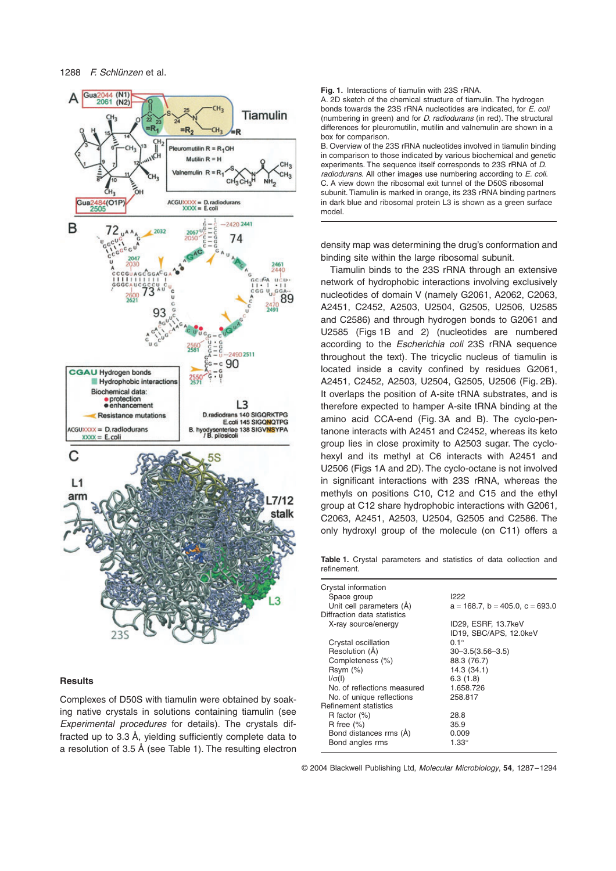

## **Results**

Complexes of D50S with tiamulin were obtained by soaking native crystals in solutions containing tiamulin (see *Experimental procedures* for details). The crystals diffracted up to 3.3 Å, yielding sufficiently complete data to a resolution of 3.5 Å (see Table 1). The resulting electron **Fig. 1.** Interactions of tiamulin with 23S rRNA.

A. 2D sketch of the chemical structure of tiamulin. The hydrogen bonds towards the 23S rRNA nucleotides are indicated, for *E. coli* (numbering in green) and for *D. radiodurans* (in red). The structural differences for pleuromutilin, mutilin and valnemulin are shown in a box for comparison.

B. Overview of the 23S rRNA nucleotides involved in tiamulin binding in comparison to those indicated by various biochemical and genetic experiments. The sequence itself corresponds to 23S rRNA of *D. radiodurans*. All other images use numbering according to *E. coli*. C. A view down the ribosomal exit tunnel of the D50S ribosomal subunit. Tiamulin is marked in orange, its 23S rRNA binding partners in dark blue and ribosomal protein L3 is shown as a green surface model.

density map was determining the drug's conformation and binding site within the large ribosomal subunit.

Tiamulin binds to the 23S rRNA through an extensive network of hydrophobic interactions involving exclusively nucleotides of domain V (namely G2061, A2062, C2063, A2451, C2452, A2503, U2504, G2505, U2506, U2585 and C2586) and through hydrogen bonds to G2061 and U2585 (Figs 1B and 2) (nucleotides are numbered according to the *Escherichia coli* 23S rRNA sequence throughout the text). The tricyclic nucleus of tiamulin is located inside a cavity confined by residues G2061, A2451, C2452, A2503, U2504, G2505, U2506 (Fig. 2B). It overlaps the position of A-site tRNA substrates, and is therefore expected to hamper A-site tRNA binding at the amino acid CCA-end (Fig. 3A and B). The cyclo-pentanone interacts with A2451 and C2452, whereas its keto group lies in close proximity to A2503 sugar. The cyclohexyl and its methyl at C6 interacts with A2451 and U2506 (Figs 1A and 2D). The cyclo-octane is not involved in significant interactions with 23S rRNA, whereas the methyls on positions C10, C12 and C15 and the ethyl group at C12 share hydrophobic interactions with G2061, C2063, A2451, A2503, U2504, G2505 and C2586. The only hydroxyl group of the molecule (on C11) offers a

**Table 1.** Crystal parameters and statistics of data collection and refinement.

| Crystal information          |                                         |
|------------------------------|-----------------------------------------|
| Space group                  | 1222                                    |
| Unit cell parameters (A)     | $a = 168.7$ , $b = 405.0$ , $c = 693.0$ |
| Diffraction data statistics  |                                         |
| X-ray source/energy          | ID29, ESRF, 13.7keV                     |
|                              | ID19, SBC/APS, 12.0keV                  |
| Crystal oscillation          | $0.1^\circ$                             |
| Resolution (Å)               | $30 - 3.5(3.56 - 3.5)$                  |
| Completeness (%)             | 88.3 (76.7)                             |
| Rsym(%)                      | 14.3 (34.1)                             |
| $I/\sigma(I)$                | 6.3(1.8)                                |
| No. of reflections measured  | 1.658.726                               |
| No. of unique reflections    | 258.817                                 |
| <b>Refinement statistics</b> |                                         |
| R factor $(\%)$              | 28.8                                    |
| R free $(\%)$                | 35.9                                    |
| Bond distances rms (Å)       | 0.009                                   |
| Bond angles rms              | 1.33°                                   |
|                              |                                         |

© 2004 Blackwell Publishing Ltd, *Molecular Microbiology*, **54**, 1287–1294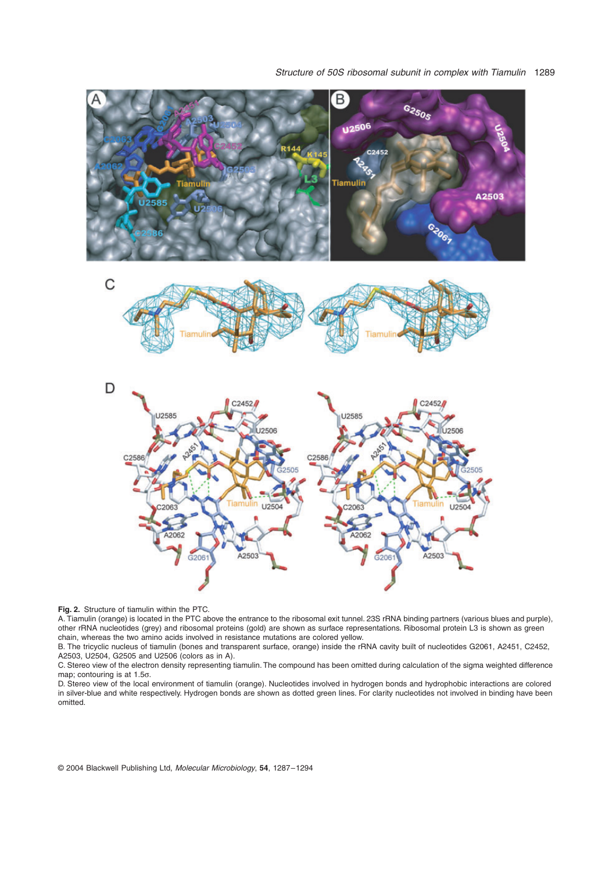

**Fig. 2.** Structure of tiamulin within the PTC.

A. Tiamulin (orange) is located in the PTC above the entrance to the ribosomal exit tunnel. 23S rRNA binding partners (various blues and purple), other rRNA nucleotides (grey) and ribosomal proteins (gold) are shown as surface representations. Ribosomal protein L3 is shown as green chain, whereas the two amino acids involved in resistance mutations are colored yellow.

B. The tricyclic nucleus of tiamulin (bones and transparent surface, orange) inside the rRNA cavity built of nucleotides G2061, A2451, C2452, A2503, U2504, G2505 and U2506 (colors as in A).

C. Stereo view of the electron density representing tiamulin. The compound has been omitted during calculation of the sigma weighted difference map; contouring is at 1.5 $\sigma$ .

D. Stereo view of the local environment of tiamulin (orange). Nucleotides involved in hydrogen bonds and hydrophobic interactions are colored in silver-blue and white respectively. Hydrogen bonds are shown as dotted green lines. For clarity nucleotides not involved in binding have been omitted.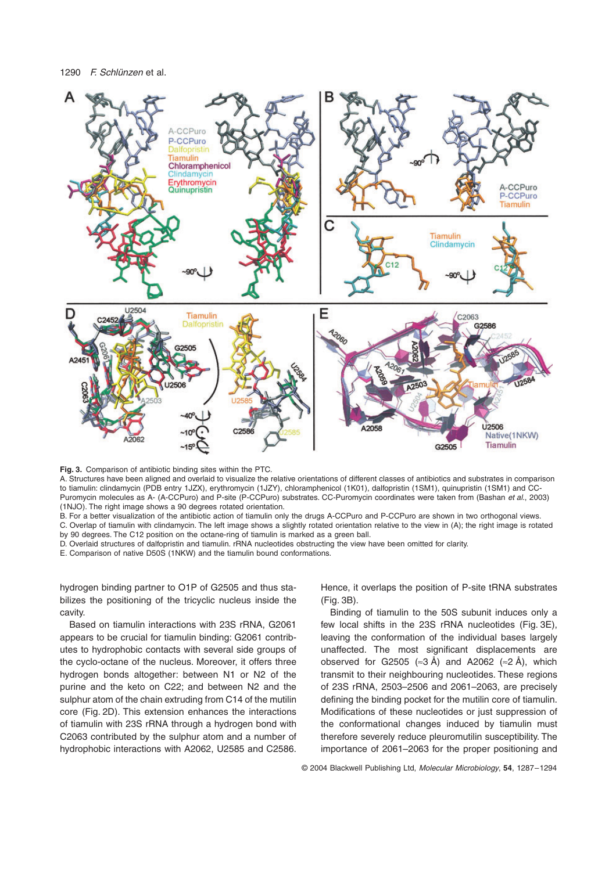

**Fig. 3.** Comparison of antibiotic binding sites within the PTC.

A. Structures have been aligned and overlaid to visualize the relative orientations of different classes of antibiotics and substrates in comparison to tiamulin: clindamycin (PDB entry 1JZX), erythromycin (1JZY), chloramphenicol (1K01), dalfopristin (1SM1), quinupristin (1SM1) and CC-Puromycin molecules as A- (A-CCPuro) and P-site (P-CCPuro) substrates. CC-Puromycin coordinates were taken from (Bashan *et al*., 2003) (1NJO). The right image shows a 90 degrees rotated orientation.

B. For a better visualization of the antibiotic action of tiamulin only the drugs A-CCPuro and P-CCPuro are shown in two orthogonal views.

C. Overlap of tiamulin with clindamycin. The left image shows a slightly rotated orientation relative to the view in (A); the right image is rotated by 90 degrees. The C12 position on the octane-ring of tiamulin is marked as a green ball.

D. Overlaid structures of dalfopristin and tiamulin. rRNA nucleotides obstructing the view have been omitted for clarity.

E. Comparison of native D50S (1NKW) and the tiamulin bound conformations.

hydrogen binding partner to O1P of G2505 and thus stabilizes the positioning of the tricyclic nucleus inside the cavity.

Based on tiamulin interactions with 23S rRNA, G2061 appears to be crucial for tiamulin binding: G2061 contributes to hydrophobic contacts with several side groups of the cyclo-octane of the nucleus. Moreover, it offers three hydrogen bonds altogether: between N1 or N2 of the purine and the keto on C22; and between N2 and the sulphur atom of the chain extruding from C14 of the mutilin core (Fig. 2D). This extension enhances the interactions of tiamulin with 23S rRNA through a hydrogen bond with C2063 contributed by the sulphur atom and a number of hydrophobic interactions with A2062, U2585 and C2586.

Hence, it overlaps the position of P-site tRNA substrates (Fig. 3B).

Binding of tiamulin to the 50S subunit induces only a few local shifts in the 23S rRNA nucleotides (Fig. 3E), leaving the conformation of the individual bases largely unaffected. The most significant displacements are observed for G2505 ( $\approx$ 3 Å) and A2062 ( $\approx$ 2 Å), which transmit to their neighbouring nucleotides. These regions of 23S rRNA, 2503–2506 and 2061–2063, are precisely defining the binding pocket for the mutilin core of tiamulin. Modifications of these nucleotides or just suppression of the conformational changes induced by tiamulin must therefore severely reduce pleuromutilin susceptibility. The importance of 2061–2063 for the proper positioning and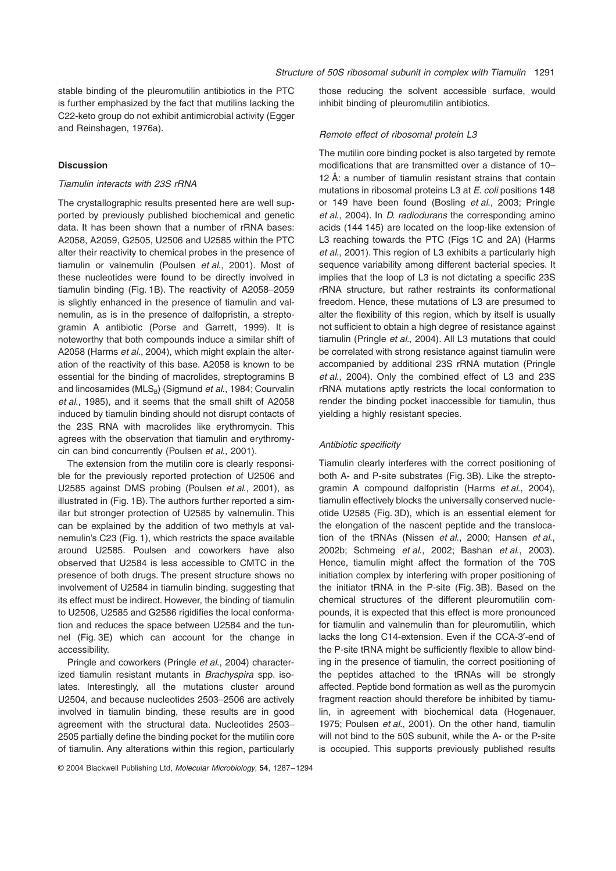stable binding of the pleuromutilin antibiotics in the PTC is further emphasized by the fact that mutilins lacking the C22-keto group do not exhibit antimicrobial activity (Egger and Reinshagen, 1976a).

## **Discussion**

#### *Tiamulin interacts with 23S rRNA*

The crystallographic results presented here are well supported by previously published biochemical and genetic data. It has been shown that a number of rRNA bases: A2058, A2059, G2505, U2506 and U2585 within the PTC alter their reactivity to chemical probes in the presence of tiamulin or valnemulin (Poulsen *et al*., 2001). Most of these nucleotides were found to be directly involved in tiamulin binding (Fig. 1B). The reactivity of A2058–2059 is slightly enhanced in the presence of tiamulin and valnemulin, as is in the presence of dalfopristin, a streptogramin A antibiotic (Porse and Garrett, 1999). It is noteworthy that both compounds induce a similar shift of A2058 (Harms *et al*., 2004), which might explain the alteration of the reactivity of this base. A2058 is known to be essential for the binding of macrolides, streptogramins B and lincosamides (MLS<sub>B</sub>) (Sigmund *et al.*, 1984; Courvalin *et al*., 1985), and it seems that the small shift of A2058 induced by tiamulin binding should not disrupt contacts of the 23S RNA with macrolides like erythromycin. This agrees with the observation that tiamulin and erythromycin can bind concurrently (Poulsen *et al*., 2001).

The extension from the mutilin core is clearly responsible for the previously reported protection of U2506 and U2585 against DMS probing (Poulsen *et al*., 2001), as illustrated in (Fig. 1B). The authors further reported a similar but stronger protection of U2585 by valnemulin. This can be explained by the addition of two methyls at valnemulin's C23 (Fig. 1), which restricts the space available around U2585. Poulsen and coworkers have also observed that U2584 is less accessible to CMTC in the presence of both drugs. The present structure shows no involvement of U2584 in tiamulin binding, suggesting that its effect must be indirect. However, the binding of tiamulin to U2506, U2585 and G2586 rigidifies the local conformation and reduces the space between U2584 and the tunnel (Fig. 3E) which can account for the change in accessibility.

Pringle and coworkers (Pringle *et al*., 2004) characterized tiamulin resistant mutants in *Brachyspira* spp. isolates. Interestingly, all the mutations cluster around U2504, and because nucleotides 2503–2506 are actively involved in tiamulin binding, these results are in good agreement with the structural data. Nucleotides 2503– 2505 partially define the binding pocket for the mutilin core of tiamulin. Any alterations within this region, particularly

© 2004 Blackwell Publishing Ltd, *Molecular Microbiology*, **54**, 1287–1294

those reducing the solvent accessible surface, would inhibit binding of pleuromutilin antibiotics.

#### *Remote effect of ribosomal protein L3*

The mutilin core binding pocket is also targeted by remote modifications that are transmitted over a distance of 10– 12 Å: a number of tiamulin resistant strains that contain mutations in ribosomal proteins L3 at *E. coli* positions 148 or 149 have been found (Bosling *et al*., 2003; Pringle *et al*., 2004). In *D. radiodurans* the corresponding amino acids (144 145) are located on the loop-like extension of L3 reaching towards the PTC (Figs 1C and 2A) (Harms *et al*., 2001). This region of L3 exhibits a particularly high sequence variability among different bacterial species. It implies that the loop of L3 is not dictating a specific 23S rRNA structure, but rather restraints its conformational freedom. Hence, these mutations of L3 are presumed to alter the flexibility of this region, which by itself is usually not sufficient to obtain a high degree of resistance against tiamulin (Pringle *et al*., 2004). All L3 mutations that could be correlated with strong resistance against tiamulin were accompanied by additional 23S rRNA mutation (Pringle *et al*., 2004). Only the combined effect of L3 and 23S rRNA mutations aptly restricts the local conformation to render the binding pocket inaccessible for tiamulin, thus yielding a highly resistant species.

## *Antibiotic specificity*

Tiamulin clearly interferes with the correct positioning of both A- and P-site substrates (Fig. 3B). Like the streptogramin A compound dalfopristin (Harms *et al*., 2004), tiamulin effectively blocks the universally conserved nucleotide U2585 (Fig. 3D), which is an essential element for the elongation of the nascent peptide and the translocation of the tRNAs (Nissen *et al*., 2000; Hansen *et al*., 2002b; Schmeing *et al*., 2002; Bashan *et al*., 2003). Hence, tiamulin might affect the formation of the 70S initiation complex by interfering with proper positioning of the initiator tRNA in the P-site (Fig. 3B). Based on the chemical structures of the different pleuromutilin compounds, it is expected that this effect is more pronounced for tiamulin and valnemulin than for pleuromutilin, which lacks the long C14-extension. Even if the CCA-3'-end of the P-site tRNA might be sufficiently flexible to allow binding in the presence of tiamulin, the correct positioning of the peptides attached to the tRNAs will be strongly affected. Peptide bond formation as well as the puromycin fragment reaction should therefore be inhibited by tiamulin, in agreement with biochemical data (Hogenauer, 1975; Poulsen *et al*., 2001). On the other hand, tiamulin will not bind to the 50S subunit, while the A- or the P-site is occupied. This supports previously published results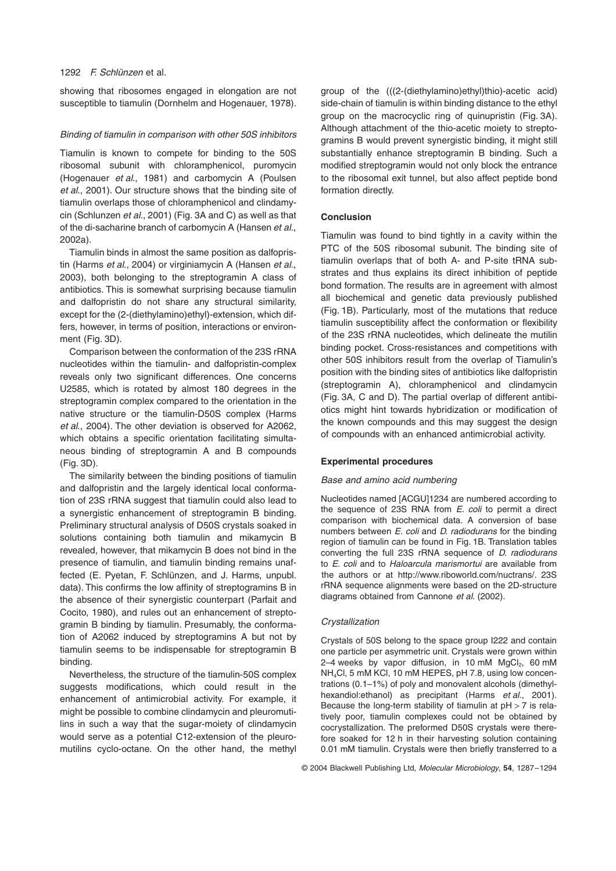## 1292 *F. Schlünzen* et al.

showing that ribosomes engaged in elongation are not susceptible to tiamulin (Dornhelm and Hogenauer, 1978).

## *Binding of tiamulin in comparison with other 50S inhibitors*

Tiamulin is known to compete for binding to the 50S ribosomal subunit with chloramphenicol, puromycin (Hogenauer *et al*., 1981) and carbomycin A (Poulsen *et al*., 2001). Our structure shows that the binding site of tiamulin overlaps those of chloramphenicol and clindamycin (Schlunzen *et al*., 2001) (Fig. 3A and C) as well as that of the di-sacharine branch of carbomycin A (Hansen *et al*., 2002a).

Tiamulin binds in almost the same position as dalfopristin (Harms *et al*., 2004) or virginiamycin A (Hansen *et al*., 2003), both belonging to the streptogramin A class of antibiotics. This is somewhat surprising because tiamulin and dalfopristin do not share any structural similarity, except for the (2-(diethylamino)ethyl)-extension, which differs, however, in terms of position, interactions or environment (Fig. 3D).

Comparison between the conformation of the 23S rRNA nucleotides within the tiamulin- and dalfopristin-complex reveals only two significant differences. One concerns U2585, which is rotated by almost 180 degrees in the streptogramin complex compared to the orientation in the native structure or the tiamulin-D50S complex (Harms *et al*., 2004). The other deviation is observed for A2062, which obtains a specific orientation facilitating simultaneous binding of streptogramin A and B compounds (Fig. 3D).

The similarity between the binding positions of tiamulin and dalfopristin and the largely identical local conformation of 23S rRNA suggest that tiamulin could also lead to a synergistic enhancement of streptogramin B binding. Preliminary structural analysis of D50S crystals soaked in solutions containing both tiamulin and mikamycin B revealed, however, that mikamycin B does not bind in the presence of tiamulin, and tiamulin binding remains unaffected (E. Pyetan, F. Schlünzen, and J. Harms, unpubl. data). This confirms the low affinity of streptogramins B in the absence of their synergistic counterpart (Parfait and Cocito, 1980), and rules out an enhancement of streptogramin B binding by tiamulin. Presumably, the conformation of A2062 induced by streptogramins A but not by tiamulin seems to be indispensable for streptogramin B binding.

Nevertheless, the structure of the tiamulin-50S complex suggests modifications, which could result in the enhancement of antimicrobial activity. For example, it might be possible to combine clindamycin and pleuromutilins in such a way that the sugar-moiety of clindamycin would serve as a potential C12-extension of the pleuromutilins cyclo-octane. On the other hand, the methyl

group of the (((2-(diethylamino)ethyl)thio)-acetic acid) side-chain of tiamulin is within binding distance to the ethyl group on the macrocyclic ring of quinupristin (Fig. 3A). Although attachment of the thio-acetic moiety to streptogramins B would prevent synergistic binding, it might still substantially enhance streptogramin B binding. Such a modified streptogramin would not only block the entrance to the ribosomal exit tunnel, but also affect peptide bond formation directly.

## **Conclusion**

Tiamulin was found to bind tightly in a cavity within the PTC of the 50S ribosomal subunit. The binding site of tiamulin overlaps that of both A- and P-site tRNA substrates and thus explains its direct inhibition of peptide bond formation. The results are in agreement with almost all biochemical and genetic data previously published (Fig. 1B). Particularly, most of the mutations that reduce tiamulin susceptibility affect the conformation or flexibility of the 23S rRNA nucleotides, which delineate the mutilin binding pocket. Cross-resistances and competitions with other 50S inhibitors result from the overlap of Tiamulin's position with the binding sites of antibiotics like dalfopristin (streptogramin A), chloramphenicol and clindamycin (Fig. 3A, C and D). The partial overlap of different antibiotics might hint towards hybridization or modification of the known compounds and this may suggest the design of compounds with an enhanced antimicrobial activity.

## **Experimental procedures**

## *Base and amino acid numbering*

Nucleotides named [ACGU]1234 are numbered according to the sequence of 23S RNA from *E. coli* to permit a direct comparison with biochemical data. A conversion of base numbers between *E. coli* and *D. radiodurans* for the binding region of tiamulin can be found in Fig. 1B. Translation tables converting the full 23S rRNA sequence of *D. radiodurans* to *E. coli* and to *Haloarcula marismortui* are available from the authors or at [http://www.riboworld.com/nuctrans/.](http://www.riboworld.com/nuctrans/) 23S rRNA sequence alignments were based on the 2D-structure diagrams obtained from Cannone *et al*. (2002).

## *Crystallization*

Crystals of 50S belong to the space group I222 and contain one particle per asymmetric unit. Crystals were grown within 2–4 weeks by vapor diffusion, in 10 mM  $MgCl<sub>2</sub>$ , 60 mM NH4Cl, 5 mM KCl, 10 mM HEPES, pH 7.8, using low concentrations (0.1–1%) of poly and monovalent alcohols (dimethylhexandiol:ethanol) as precipitant (Harms *et al*., 2001). Because the long-term stability of tiamulin at  $pH > 7$  is relatively poor, tiamulin complexes could not be obtained by cocrystallization. The preformed D50S crystals were therefore soaked for 12 h in their harvesting solution containing 0.01 mM tiamulin. Crystals were then briefly transferred to a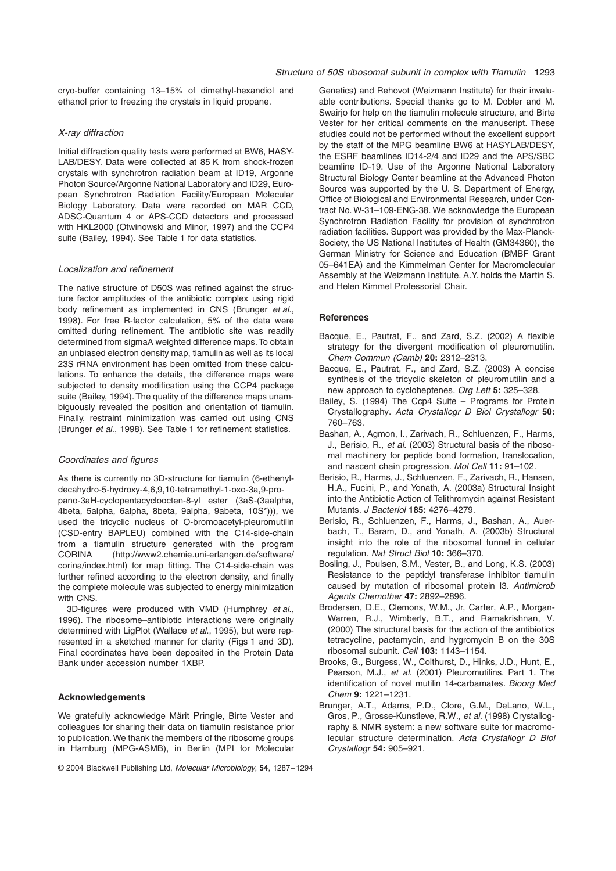cryo-buffer containing 13–15% of dimethyl-hexandiol and ethanol prior to freezing the crystals in liquid propane.

#### *X-ray diffraction*

Initial diffraction quality tests were performed at BW6, HASY-LAB/DESY. Data were collected at 85 K from shock-frozen crystals with synchrotron radiation beam at ID19, Argonne Photon Source/Argonne National Laboratory and ID29, European Synchrotron Radiation Facility/European Molecular Biology Laboratory. Data were recorded on MAR CCD, ADSC-Quantum 4 or APS-CCD detectors and processed with HKL2000 (Otwinowski and Minor, 1997) and the CCP4 suite (Bailey, 1994). See Table 1 for data statistics.

#### *Localization and refinement*

The native structure of D50S was refined against the structure factor amplitudes of the antibiotic complex using rigid body refinement as implemented in CNS (Brunger *et al*., 1998). For free R-factor calculation, 5% of the data were omitted during refinement. The antibiotic site was readily determined from sigmaA weighted difference maps. To obtain an unbiased electron density map, tiamulin as well as its local 23S rRNA environment has been omitted from these calculations. To enhance the details, the difference maps were subjected to density modification using the CCP4 package suite (Bailey, 1994). The quality of the difference maps unambiguously revealed the position and orientation of tiamulin. Finally, restraint minimization was carried out using CNS (Brunger *et al*., 1998). See Table 1 for refinement statistics.

## *Coordinates and figures*

As there is currently no 3D-structure for tiamulin (6-ethenyldecahydro-5-hydroxy-4,6,9,10-tetramethyl-1-oxo-3a,9-propano-3aH-cyclopentacycloocten-8-yl ester (3aS-(3aalpha, 4beta, 5alpha, 6alpha, 8beta, 9alpha, 9abeta, 10S\*))), we used the tricyclic nucleus of O-bromoacetyl-pleuromutilin (CSD-entry BAPLEU) combined with the C14-side-chain from a tiamulin structure generated with the program CORINA [\(http://www2.chemie.uni-erlangen.de/software/](http://www2.chemie.uni-erlangen.de/software/) corina/index.html) for map fitting. The C14-side-chain was further refined according to the electron density, and finally the complete molecule was subjected to energy minimization with CNS.

3D-figures were produced with VMD (Humphrey *et al*., 1996). The ribosome–antibiotic interactions were originally determined with LigPlot (Wallace *et al*., 1995), but were represented in a sketched manner for clarity (Figs 1 and 3D). Final coordinates have been deposited in the Protein Data Bank under accession number 1XBP.

## **Acknowledgements**

We gratefully acknowledge Märit Pringle, Birte Vester and colleagues for sharing their data on tiamulin resistance prior to publication. We thank the members of the ribosome groups in Hamburg (MPG-ASMB), in Berlin (MPI for Molecular

© 2004 Blackwell Publishing Ltd, *Molecular Microbiology*, **54**, 1287–1294

Genetics) and Rehovot (Weizmann Institute) for their invaluable contributions. Special thanks go to M. Dobler and M. Swairio for help on the tiamulin molecule structure, and Birte Vester for her critical comments on the manuscript. These studies could not be performed without the excellent support by the staff of the MPG beamline BW6 at HASYLAB/DESY, the ESRF beamlines ID14-2/4 and ID29 and the APS/SBC beamline ID-19. Use of the Argonne National Laboratory Structural Biology Center beamline at the Advanced Photon Source was supported by the U. S. Department of Energy, Office of Biological and Environmental Research, under Contract No. W-31–109-ENG-38. We acknowledge the European Synchrotron Radiation Facility for provision of synchrotron radiation facilities. Support was provided by the Max-Planck-Society, the US National Institutes of Health (GM34360), the German Ministry for Science and Education (BMBF Grant 05–641EA) and the Kimmelman Center for Macromolecular Assembly at the Weizmann Institute. A.Y. holds the Martin S. and Helen Kimmel Professorial Chair.

## **References**

- Bacque, E., Pautrat, F., and Zard, S.Z. (2002) A flexible strategy for the divergent modification of pleuromutilin. *Chem Commun (Camb)* **20:** 2312–2313.
- Bacque, E., Pautrat, F., and Zard, S.Z. (2003) A concise synthesis of the tricyclic skeleton of pleuromutilin and a new approach to cycloheptenes. *Org Lett* **5:** 325–328.
- Bailey, S. (1994) The Ccp4 Suite Programs for Protein Crystallography. *Acta Crystallogr D Biol Crystallogr* **50:** 760–763.
- Bashan, A., Agmon, I., Zarivach, R., Schluenzen, F., Harms, J., Berisio, R., *et al.* (2003) Structural basis of the ribosomal machinery for peptide bond formation, translocation, and nascent chain progression. *Mol Cell* **11:** 91–102.
- Berisio, R., Harms, J., Schluenzen, F., Zarivach, R., Hansen, H.A., Fucini, P., and Yonath, A. (2003a) Structural Insight into the Antibiotic Action of Telithromycin against Resistant Mutants. *J Bacteriol* **185:** 4276–4279.
- Berisio, R., Schluenzen, F., Harms, J., Bashan, A., Auerbach, T., Baram, D., and Yonath, A. (2003b) Structural insight into the role of the ribosomal tunnel in cellular regulation. *Nat Struct Biol* **10:** 366–370.
- Bosling, J., Poulsen, S.M., Vester, B., and Long, K.S. (2003) Resistance to the peptidyl transferase inhibitor tiamulin caused by mutation of ribosomal protein l3. *Antimicrob Agents Chemother* **47:** 2892–2896.
- Brodersen, D.E., Clemons, W.M., Jr, Carter, A.P., Morgan-Warren, R.J., Wimberly, B.T., and Ramakrishnan, V. (2000) The structural basis for the action of the antibiotics tetracycline, pactamycin, and hygromycin B on the 30S ribosomal subunit. *Cell* **103:** 1143–1154.
- Brooks, G., Burgess, W., Colthurst, D., Hinks, J.D., Hunt, E., Pearson, M.J., *et al.* (2001) Pleuromutilins. Part 1. The identification of novel mutilin 14-carbamates. *Bioorg Med Chem* **9:** 1221–1231.
- Brunger, A.T., Adams, P.D., Clore, G.M., DeLano, W.L., Gros, P., Grosse-Kunstleve, R.W., *et al.* (1998) Crystallography & NMR system: a new software suite for macromolecular structure determination. *Acta Crystallogr D Biol Crystallogr* **54:** 905–921.